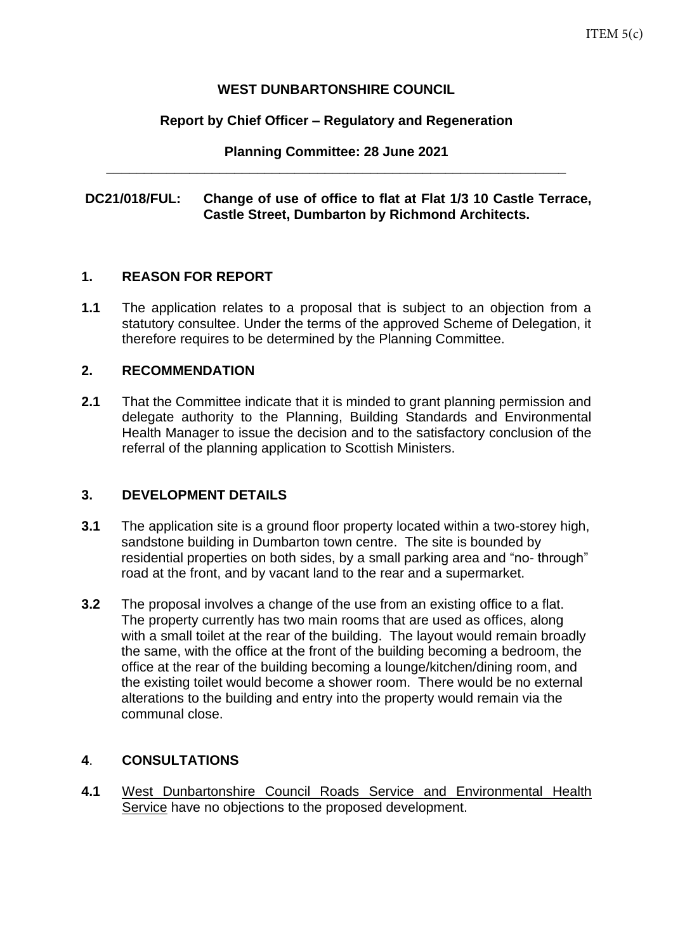## **WEST DUNBARTONSHIRE COUNCIL**

## **Report by Chief Officer – Regulatory and Regeneration**

**Planning Committee: 28 June 2021 \_\_\_\_\_\_\_\_\_\_\_\_\_\_\_\_\_\_\_\_\_\_\_\_\_\_\_\_\_\_\_\_\_\_\_\_\_\_\_\_\_\_\_\_\_\_\_\_\_\_\_\_\_\_\_\_\_\_\_\_\_**

## **DC21/018/FUL: Change of use of office to flat at Flat 1/3 10 Castle Terrace, Castle Street, Dumbarton by Richmond Architects.**

### **1. REASON FOR REPORT**

**1.1** The application relates to a proposal that is subject to an objection from a statutory consultee. Under the terms of the approved Scheme of Delegation, it therefore requires to be determined by the Planning Committee.

### **2. RECOMMENDATION**

**2.1** That the Committee indicate that it is minded to grant planning permission and delegate authority to the Planning, Building Standards and Environmental Health Manager to issue the decision and to the satisfactory conclusion of the referral of the planning application to Scottish Ministers.

## **3. DEVELOPMENT DETAILS**

- **3.1** The application site is a ground floor property located within a two-storey high, sandstone building in Dumbarton town centre. The site is bounded by residential properties on both sides, by a small parking area and "no- through" road at the front, and by vacant land to the rear and a supermarket.
- **3.2** The proposal involves a change of the use from an existing office to a flat. The property currently has two main rooms that are used as offices, along with a small toilet at the rear of the building. The layout would remain broadly the same, with the office at the front of the building becoming a bedroom, the office at the rear of the building becoming a lounge/kitchen/dining room, and the existing toilet would become a shower room. There would be no external alterations to the building and entry into the property would remain via the communal close.

## **4**. **CONSULTATIONS**

**4.1** West Dunbartonshire Council Roads Service and Environmental Health Service have no objections to the proposed development.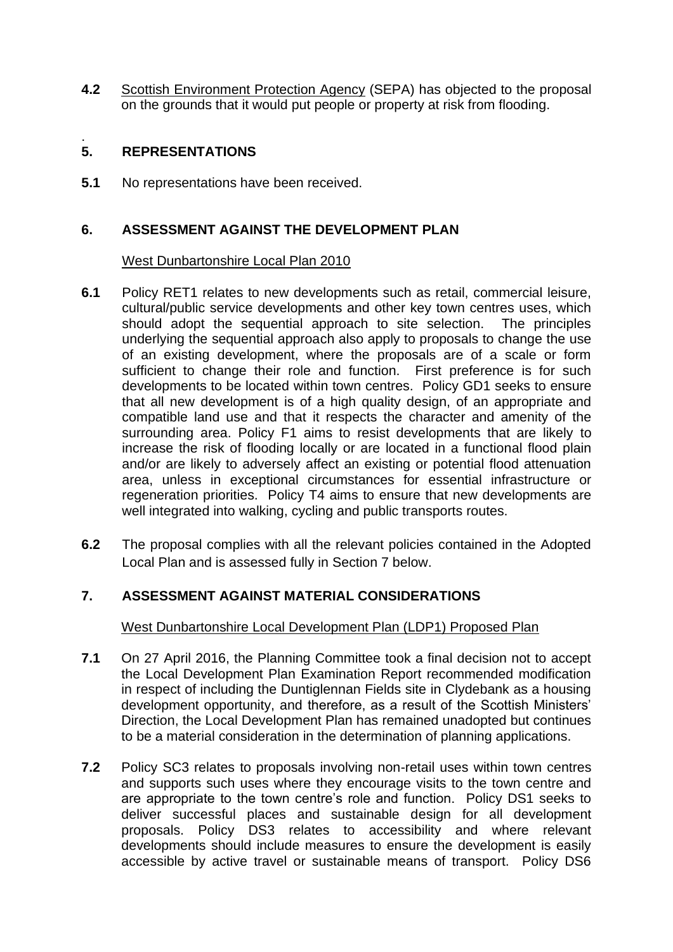**4.2** Scottish Environment Protection Agency (SEPA) has objected to the proposal on the grounds that it would put people or property at risk from flooding.

#### . **5. REPRESENTATIONS**

**5.1** No representations have been received.

# **6. ASSESSMENT AGAINST THE DEVELOPMENT PLAN**

## West Dunbartonshire Local Plan 2010

- **6.1** Policy RET1 relates to new developments such as retail, commercial leisure, cultural/public service developments and other key town centres uses, which should adopt the sequential approach to site selection. The principles underlying the sequential approach also apply to proposals to change the use of an existing development, where the proposals are of a scale or form sufficient to change their role and function. First preference is for such developments to be located within town centres. Policy GD1 seeks to ensure that all new development is of a high quality design, of an appropriate and compatible land use and that it respects the character and amenity of the surrounding area. Policy F1 aims to resist developments that are likely to increase the risk of flooding locally or are located in a functional flood plain and/or are likely to adversely affect an existing or potential flood attenuation area, unless in exceptional circumstances for essential infrastructure or regeneration priorities. Policy T4 aims to ensure that new developments are well integrated into walking, cycling and public transports routes.
- **6.2** The proposal complies with all the relevant policies contained in the Adopted Local Plan and is assessed fully in Section 7 below.

# **7. ASSESSMENT AGAINST MATERIAL CONSIDERATIONS**

West Dunbartonshire Local Development Plan (LDP1) Proposed Plan

- **7.1** On 27 April 2016, the Planning Committee took a final decision not to accept the Local Development Plan Examination Report recommended modification in respect of including the Duntiglennan Fields site in Clydebank as a housing development opportunity, and therefore, as a result of the Scottish Ministers' Direction, the Local Development Plan has remained unadopted but continues to be a material consideration in the determination of planning applications.
- **7.2** Policy SC3 relates to proposals involving non-retail uses within town centres and supports such uses where they encourage visits to the town centre and are appropriate to the town centre's role and function. Policy DS1 seeks to deliver successful places and sustainable design for all development proposals. Policy DS3 relates to accessibility and where relevant developments should include measures to ensure the development is easily accessible by active travel or sustainable means of transport. Policy DS6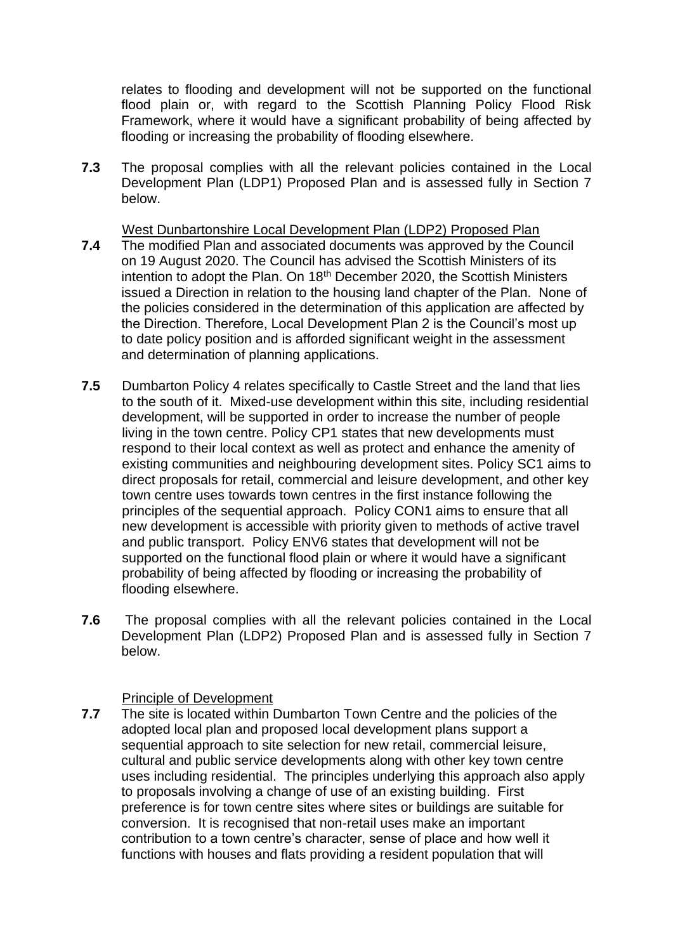relates to flooding and development will not be supported on the functional flood plain or, with regard to the Scottish Planning Policy Flood Risk Framework, where it would have a significant probability of being affected by flooding or increasing the probability of flooding elsewhere.

**7.3** The proposal complies with all the relevant policies contained in the Local Development Plan (LDP1) Proposed Plan and is assessed fully in Section 7 below.

West Dunbartonshire Local Development Plan (LDP2) Proposed Plan

- **7.4** The modified Plan and associated documents was approved by the Council on 19 August 2020. The Council has advised the Scottish Ministers of its intention to adopt the Plan. On 18<sup>th</sup> December 2020, the Scottish Ministers issued a Direction in relation to the housing land chapter of the Plan. None of the policies considered in the determination of this application are affected by the Direction. Therefore, Local Development Plan 2 is the Council's most up to date policy position and is afforded significant weight in the assessment and determination of planning applications.
- **7.5** Dumbarton Policy 4 relates specifically to Castle Street and the land that lies to the south of it. Mixed-use development within this site, including residential development, will be supported in order to increase the number of people living in the town centre. Policy CP1 states that new developments must respond to their local context as well as protect and enhance the amenity of existing communities and neighbouring development sites. Policy SC1 aims to direct proposals for retail, commercial and leisure development, and other key town centre uses towards town centres in the first instance following the principles of the sequential approach. Policy CON1 aims to ensure that all new development is accessible with priority given to methods of active travel and public transport. Policy ENV6 states that development will not be supported on the functional flood plain or where it would have a significant probability of being affected by flooding or increasing the probability of flooding elsewhere.
- **7.6** The proposal complies with all the relevant policies contained in the Local Development Plan (LDP2) Proposed Plan and is assessed fully in Section 7 below.

## Principle of Development

**7.7** The site is located within Dumbarton Town Centre and the policies of the adopted local plan and proposed local development plans support a sequential approach to site selection for new retail, commercial leisure, cultural and public service developments along with other key town centre uses including residential. The principles underlying this approach also apply to proposals involving a change of use of an existing building. First preference is for town centre sites where sites or buildings are suitable for conversion. It is recognised that non-retail uses make an important contribution to a town centre's character, sense of place and how well it functions with houses and flats providing a resident population that will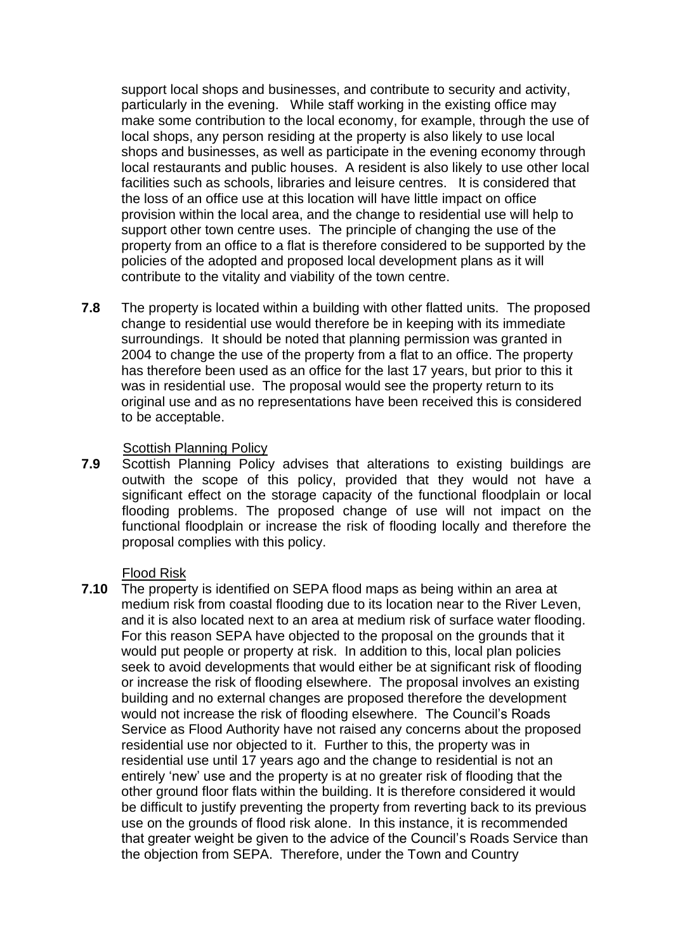support local shops and businesses, and contribute to security and activity, particularly in the evening. While staff working in the existing office may make some contribution to the local economy, for example, through the use of local shops, any person residing at the property is also likely to use local shops and businesses, as well as participate in the evening economy through local restaurants and public houses. A resident is also likely to use other local facilities such as schools, libraries and leisure centres. It is considered that the loss of an office use at this location will have little impact on office provision within the local area, and the change to residential use will help to support other town centre uses. The principle of changing the use of the property from an office to a flat is therefore considered to be supported by the policies of the adopted and proposed local development plans as it will contribute to the vitality and viability of the town centre.

**7.8** The property is located within a building with other flatted units. The proposed change to residential use would therefore be in keeping with its immediate surroundings. It should be noted that planning permission was granted in 2004 to change the use of the property from a flat to an office. The property has therefore been used as an office for the last 17 years, but prior to this it was in residential use. The proposal would see the property return to its original use and as no representations have been received this is considered to be acceptable.

#### Scottish Planning Policy

**7.9** Scottish Planning Policy advises that alterations to existing buildings are outwith the scope of this policy, provided that they would not have a significant effect on the storage capacity of the functional floodplain or local flooding problems. The proposed change of use will not impact on the functional floodplain or increase the risk of flooding locally and therefore the proposal complies with this policy.

#### Flood Risk

**7.10** The property is identified on SEPA flood maps as being within an area at medium risk from coastal flooding due to its location near to the River Leven, and it is also located next to an area at medium risk of surface water flooding. For this reason SEPA have objected to the proposal on the grounds that it would put people or property at risk. In addition to this, local plan policies seek to avoid developments that would either be at significant risk of flooding or increase the risk of flooding elsewhere. The proposal involves an existing building and no external changes are proposed therefore the development would not increase the risk of flooding elsewhere. The Council's Roads Service as Flood Authority have not raised any concerns about the proposed residential use nor objected to it. Further to this, the property was in residential use until 17 years ago and the change to residential is not an entirely 'new' use and the property is at no greater risk of flooding that the other ground floor flats within the building. It is therefore considered it would be difficult to justify preventing the property from reverting back to its previous use on the grounds of flood risk alone. In this instance, it is recommended that greater weight be given to the advice of the Council's Roads Service than the objection from SEPA. Therefore, under the Town and Country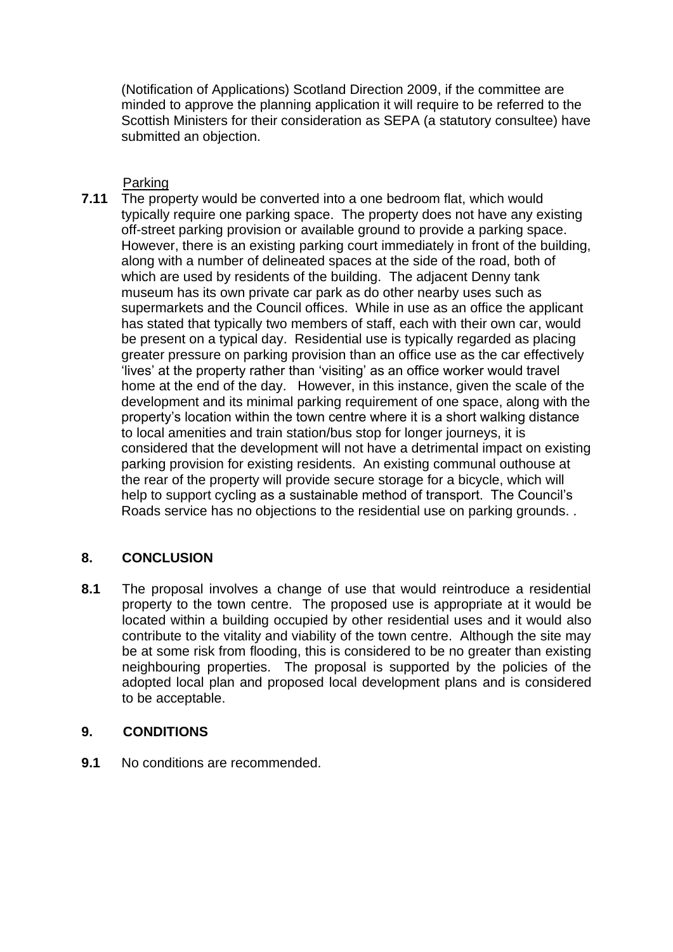(Notification of Applications) Scotland Direction 2009, if the committee are minded to approve the planning application it will require to be referred to the Scottish Ministers for their consideration as SEPA (a statutory consultee) have submitted an objection.

Parking

**7.11** The property would be converted into a one bedroom flat, which would typically require one parking space. The property does not have any existing off-street parking provision or available ground to provide a parking space. However, there is an existing parking court immediately in front of the building, along with a number of delineated spaces at the side of the road, both of which are used by residents of the building. The adjacent Denny tank museum has its own private car park as do other nearby uses such as supermarkets and the Council offices. While in use as an office the applicant has stated that typically two members of staff, each with their own car, would be present on a typical day. Residential use is typically regarded as placing greater pressure on parking provision than an office use as the car effectively 'lives' at the property rather than 'visiting' as an office worker would travel home at the end of the day. However, in this instance, given the scale of the development and its minimal parking requirement of one space, along with the property's location within the town centre where it is a short walking distance to local amenities and train station/bus stop for longer journeys, it is considered that the development will not have a detrimental impact on existing parking provision for existing residents. An existing communal outhouse at the rear of the property will provide secure storage for a bicycle, which will help to support cycling as a sustainable method of transport. The Council's Roads service has no objections to the residential use on parking grounds. .

# **8. CONCLUSION**

**8.1** The proposal involves a change of use that would reintroduce a residential property to the town centre. The proposed use is appropriate at it would be located within a building occupied by other residential uses and it would also contribute to the vitality and viability of the town centre. Although the site may be at some risk from flooding, this is considered to be no greater than existing neighbouring properties. The proposal is supported by the policies of the adopted local plan and proposed local development plans and is considered to be acceptable.

# **9. CONDITIONS**

**9.1** No conditions are recommended.